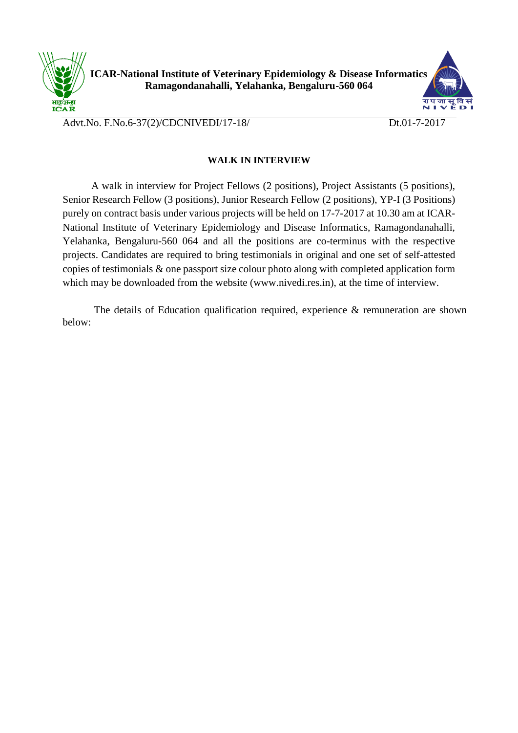

**ICAR-National Institute of Veterinary Epidemiology & Disease Informatics Ramagondanahalli, Yelahanka, Bengaluru-560 064**



Advt.No. F.No.6-37(2)/CDCNIVEDI/17-18/ Dt.01-7-2017

## **WALK IN INTERVIEW**

 A walk in interview for Project Fellows (2 positions), Project Assistants (5 positions), Senior Research Fellow (3 positions), Junior Research Fellow (2 positions), YP-I (3 Positions) purely on contract basis under various projects will be held on 17-7-2017 at 10.30 am at ICAR-National Institute of Veterinary Epidemiology and Disease Informatics, Ramagondanahalli, Yelahanka, Bengaluru-560 064 and all the positions are co-terminus with the respective projects. Candidates are required to bring testimonials in original and one set of self-attested copies of testimonials & one passport size colour photo along with completed application form which may be downloaded from the website (www.nivedi.res.in), at the time of interview.

The details of Education qualification required, experience & remuneration are shown below: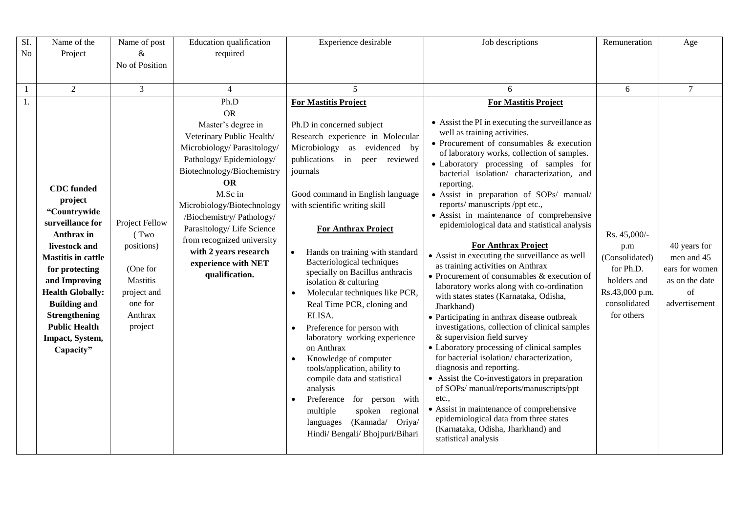| SI.            | Name of the                                                                                                                                                                                    | Name of post                                                              | Education qualification                                                                                                                                                                                                                                       | Experience desirable                                                                                                                                                                                                                                                                                                                                                                                                                                                                                                                                                                                                                                                                                                                           | Job descriptions                                                                                                                                                                                                                                                                                                                                                                                                                                                                                                                                                                                                                                                                                                                                        | Remuneration                                                                               | Age                                                                   |
|----------------|------------------------------------------------------------------------------------------------------------------------------------------------------------------------------------------------|---------------------------------------------------------------------------|---------------------------------------------------------------------------------------------------------------------------------------------------------------------------------------------------------------------------------------------------------------|------------------------------------------------------------------------------------------------------------------------------------------------------------------------------------------------------------------------------------------------------------------------------------------------------------------------------------------------------------------------------------------------------------------------------------------------------------------------------------------------------------------------------------------------------------------------------------------------------------------------------------------------------------------------------------------------------------------------------------------------|---------------------------------------------------------------------------------------------------------------------------------------------------------------------------------------------------------------------------------------------------------------------------------------------------------------------------------------------------------------------------------------------------------------------------------------------------------------------------------------------------------------------------------------------------------------------------------------------------------------------------------------------------------------------------------------------------------------------------------------------------------|--------------------------------------------------------------------------------------------|-----------------------------------------------------------------------|
| N <sub>o</sub> | Project                                                                                                                                                                                        | $\&$                                                                      | required                                                                                                                                                                                                                                                      |                                                                                                                                                                                                                                                                                                                                                                                                                                                                                                                                                                                                                                                                                                                                                |                                                                                                                                                                                                                                                                                                                                                                                                                                                                                                                                                                                                                                                                                                                                                         |                                                                                            |                                                                       |
|                |                                                                                                                                                                                                | No of Position                                                            |                                                                                                                                                                                                                                                               |                                                                                                                                                                                                                                                                                                                                                                                                                                                                                                                                                                                                                                                                                                                                                |                                                                                                                                                                                                                                                                                                                                                                                                                                                                                                                                                                                                                                                                                                                                                         |                                                                                            |                                                                       |
|                |                                                                                                                                                                                                |                                                                           |                                                                                                                                                                                                                                                               |                                                                                                                                                                                                                                                                                                                                                                                                                                                                                                                                                                                                                                                                                                                                                |                                                                                                                                                                                                                                                                                                                                                                                                                                                                                                                                                                                                                                                                                                                                                         |                                                                                            |                                                                       |
| $\mathbf{1}$   | $\overline{2}$                                                                                                                                                                                 | $\mathfrak{Z}$                                                            | $\overline{4}$                                                                                                                                                                                                                                                | $\overline{5}$                                                                                                                                                                                                                                                                                                                                                                                                                                                                                                                                                                                                                                                                                                                                 | 6                                                                                                                                                                                                                                                                                                                                                                                                                                                                                                                                                                                                                                                                                                                                                       | 6                                                                                          | $\overline{7}$                                                        |
| 1.             |                                                                                                                                                                                                |                                                                           | Ph.D                                                                                                                                                                                                                                                          | <b>For Mastitis Project</b>                                                                                                                                                                                                                                                                                                                                                                                                                                                                                                                                                                                                                                                                                                                    | <b>For Mastitis Project</b>                                                                                                                                                                                                                                                                                                                                                                                                                                                                                                                                                                                                                                                                                                                             |                                                                                            |                                                                       |
|                | <b>CDC</b> funded<br>project<br>"Countrywide<br>surveillance for<br>Anthrax in<br>livestock and                                                                                                | <b>OR</b><br><b>OR</b><br>M.Sc in<br>Project Fellow<br>(Two<br>positions) | Master's degree in<br>Veterinary Public Health/<br>Microbiology/ Parasitology/<br>Pathology/Epidemiology/<br>Biotechnology/Biochemistry<br>Microbiology/Biotechnology<br>/Biochemistry/ Pathology/<br>Parasitology/Life Science<br>from recognized university | • Assist the PI in executing the surveillance as<br>Ph.D in concerned subject<br>well as training activities.<br>Research experience in Molecular<br>• Procurement of consumables $&$ execution<br>Microbiology as evidenced by<br>of laboratory works, collection of samples.<br>publications in peer reviewed<br>• Laboratory processing of samples for<br>journals<br>bacterial isolation/ characterization, and<br>reporting.<br>Good command in English language<br>• Assist in preparation of SOPs/ manual/<br>reports/ manuscripts /ppt etc.,<br>with scientific writing skill<br>• Assist in maintenance of comprehensive<br>epidemiological data and statistical analysis<br><b>For Anthrax Project</b><br><b>For Anthrax Project</b> | Rs. 45,000/-<br>p.m                                                                                                                                                                                                                                                                                                                                                                                                                                                                                                                                                                                                                                                                                                                                     | 40 years for                                                                               |                                                                       |
|                | <b>Mastitis in cattle</b><br>for protecting<br>and Improving<br><b>Health Globally:</b><br><b>Building and</b><br><b>Strengthening</b><br><b>Public Health</b><br>Impact, System,<br>Capacity" | (One for<br>Mastitis<br>project and<br>one for<br>Anthrax<br>project      | with 2 years research<br>experience with NET<br>qualification.                                                                                                                                                                                                | Hands on training with standard<br>Bacteriological techniques<br>specially on Bacillus anthracis<br>isolation & culturing<br>Molecular techniques like PCR,<br>Real Time PCR, cloning and<br>ELISA.<br>Preference for person with<br>laboratory working experience<br>on Anthrax<br>Knowledge of computer<br>tools/application, ability to<br>compile data and statistical<br>analysis<br>Preference for person with<br>multiple<br>spoken regional<br>(Kannada/ Oriya/<br>languages<br>Hindi/ Bengali/ Bhojpuri/Bihari                                                                                                                                                                                                                        | • Assist in executing the surveillance as well<br>as training activities on Anthrax<br>• Procurement of consumables $&$ execution of<br>laboratory works along with co-ordination<br>with states states (Karnataka, Odisha,<br>Jharkhand)<br>• Participating in anthrax disease outbreak<br>investigations, collection of clinical samples<br>& supervision field survey<br>• Laboratory processing of clinical samples<br>for bacterial isolation/characterization,<br>diagnosis and reporting.<br>• Assist the Co-investigators in preparation<br>of SOPs/ manual/reports/manuscripts/ppt<br>etc.<br>• Assist in maintenance of comprehensive<br>epidemiological data from three states<br>(Karnataka, Odisha, Jharkhand) and<br>statistical analysis | (Consolidated)<br>for Ph.D.<br>holders and<br>Rs.43,000 p.m.<br>consolidated<br>for others | men and 45<br>ears for women<br>as on the date<br>of<br>advertisement |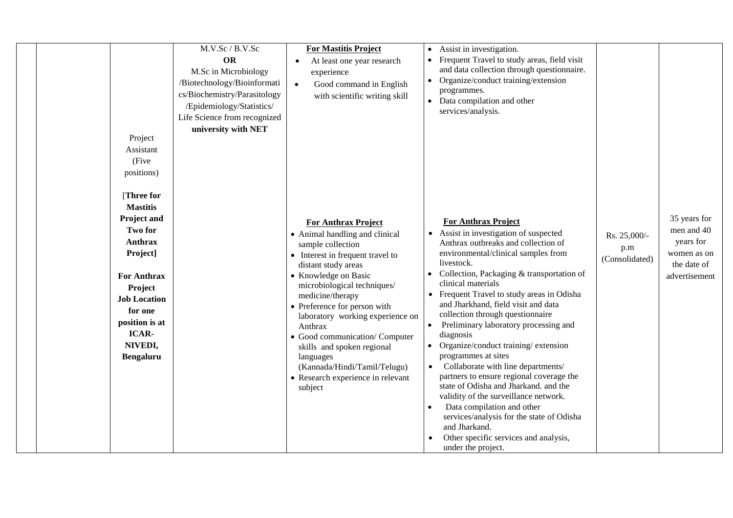|  |                                  | M.V.Sc / B.V.Sc              | <b>For Mastitis Project</b>                             |           | Assist in investigation.                                                   |                |                            |
|--|----------------------------------|------------------------------|---------------------------------------------------------|-----------|----------------------------------------------------------------------------|----------------|----------------------------|
|  |                                  | <b>OR</b>                    | At least one year research<br>$\bullet$                 |           | Frequent Travel to study areas, field visit                                |                |                            |
|  |                                  | M.Sc in Microbiology         | experience                                              |           | and data collection through questionnaire.                                 |                |                            |
|  |                                  | /Biotechnology/Bioinformati  | Good command in English<br>$\bullet$                    | $\bullet$ | Organize/conduct training/extension                                        |                |                            |
|  |                                  | cs/Biochemistry/Parasitology | with scientific writing skill                           |           | programmes.                                                                |                |                            |
|  |                                  | /Epidemiology/Statistics/    |                                                         |           | Data compilation and other<br>services/analysis.                           |                |                            |
|  |                                  | Life Science from recognized |                                                         |           |                                                                            |                |                            |
|  |                                  | university with NET          |                                                         |           |                                                                            |                |                            |
|  | Project                          |                              |                                                         |           |                                                                            |                |                            |
|  | Assistant                        |                              |                                                         |           |                                                                            |                |                            |
|  | (Five                            |                              |                                                         |           |                                                                            |                |                            |
|  | positions)                       |                              |                                                         |           |                                                                            |                |                            |
|  |                                  |                              |                                                         |           |                                                                            |                |                            |
|  | [Three for                       |                              |                                                         |           |                                                                            |                |                            |
|  | <b>Mastitis</b>                  |                              |                                                         |           |                                                                            |                |                            |
|  | Project and                      |                              | <b>For Anthrax Project</b>                              |           | <b>For Anthrax Project</b>                                                 |                | 35 years for<br>men and 40 |
|  | <b>Two for</b><br><b>Anthrax</b> |                              | • Animal handling and clinical                          |           | Assist in investigation of suspected                                       | Rs. 25,000/-   | years for                  |
|  |                                  |                              | sample collection                                       |           | Anthrax outbreaks and collection of<br>environmental/clinical samples from | p.m            | women as on                |
|  | Project]                         |                              | • Interest in frequent travel to<br>distant study areas |           | livestock.                                                                 | (Consolidated) | the date of                |
|  | <b>For Anthrax</b>               |                              | • Knowledge on Basic                                    |           | Collection, Packaging & transportation of                                  |                | advertisement              |
|  | Project                          |                              | microbiological techniques/                             |           | clinical materials                                                         |                |                            |
|  | <b>Job Location</b>              |                              | medicine/therapy                                        |           | Frequent Travel to study areas in Odisha                                   |                |                            |
|  | for one                          |                              | • Preference for person with                            |           | and Jharkhand, field visit and data                                        |                |                            |
|  | position is at                   |                              | laboratory working experience on                        | $\bullet$ | collection through questionnaire                                           |                |                            |
|  | ICAR-                            |                              | Anthrax<br>• Good communication/ Computer               |           | Preliminary laboratory processing and<br>diagnosis                         |                |                            |
|  | NIVEDI,                          |                              | skills and spoken regional                              |           | Organize/conduct training/extension                                        |                |                            |
|  | Bengaluru                        |                              | languages                                               |           | programmes at sites                                                        |                |                            |
|  |                                  |                              | (Kannada/Hindi/Tamil/Telugu)                            |           | Collaborate with line departments/                                         |                |                            |
|  |                                  |                              | • Research experience in relevant                       |           | partners to ensure regional coverage the                                   |                |                            |
|  |                                  |                              | subject                                                 |           | state of Odisha and Jharkand. and the                                      |                |                            |
|  |                                  |                              |                                                         |           | validity of the surveillance network.<br>Data compilation and other        |                |                            |
|  |                                  |                              |                                                         |           | services/analysis for the state of Odisha                                  |                |                            |
|  |                                  |                              |                                                         |           | and Jharkand.                                                              |                |                            |
|  |                                  |                              |                                                         |           | Other specific services and analysis,                                      |                |                            |
|  |                                  |                              |                                                         |           | under the project.                                                         |                |                            |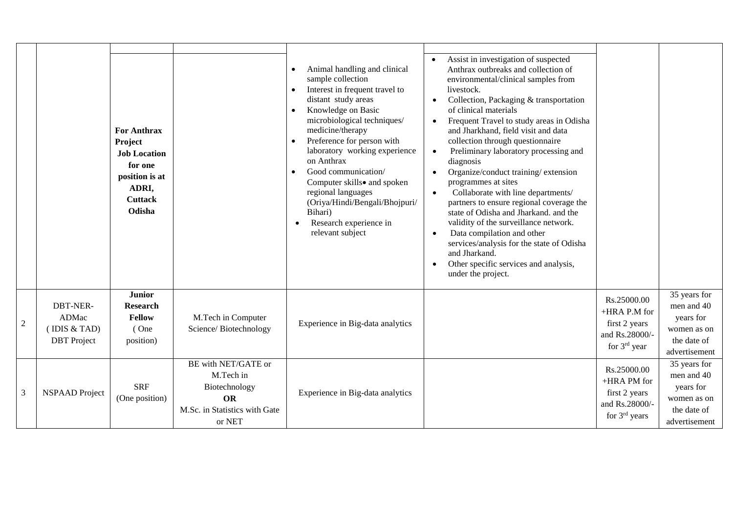|                |                                                                 | <b>For Anthrax</b><br>Project<br><b>Job Location</b><br>for one<br>position is at<br>ADRI,<br><b>Cuttack</b><br>Odisha |                                                                                                           | Animal handling and clinical<br>$\bullet$<br>sample collection<br>Interest in frequent travel to<br>distant study areas<br>Knowledge on Basic<br>$\bullet$<br>microbiological techniques/<br>medicine/therapy<br>Preference for person with<br>laboratory working experience<br>on Anthrax<br>Good communication/<br>$\bullet$<br>Computer skills• and spoken<br>regional languages<br>(Oriya/Hindi/Bengali/Bhojpuri/<br>Bihari)<br>Research experience in<br>relevant subject | Assist in investigation of suspected<br>$\bullet$<br>Anthrax outbreaks and collection of<br>environmental/clinical samples from<br>livestock.<br>Collection, Packaging & transportation<br>$\bullet$<br>of clinical materials<br>Frequent Travel to study areas in Odisha<br>$\bullet$<br>and Jharkhand, field visit and data<br>collection through questionnaire<br>Preliminary laboratory processing and<br>$\bullet$<br>diagnosis<br>Organize/conduct training/extension<br>$\bullet$<br>programmes at sites<br>Collaborate with line departments/<br>$\bullet$<br>partners to ensure regional coverage the<br>state of Odisha and Jharkand. and the<br>validity of the surveillance network.<br>Data compilation and other<br>$\bullet$<br>services/analysis for the state of Odisha<br>and Jharkand.<br>Other specific services and analysis,<br>$\bullet$<br>under the project. |                                                                                  |                                                                                        |
|----------------|-----------------------------------------------------------------|------------------------------------------------------------------------------------------------------------------------|-----------------------------------------------------------------------------------------------------------|--------------------------------------------------------------------------------------------------------------------------------------------------------------------------------------------------------------------------------------------------------------------------------------------------------------------------------------------------------------------------------------------------------------------------------------------------------------------------------|---------------------------------------------------------------------------------------------------------------------------------------------------------------------------------------------------------------------------------------------------------------------------------------------------------------------------------------------------------------------------------------------------------------------------------------------------------------------------------------------------------------------------------------------------------------------------------------------------------------------------------------------------------------------------------------------------------------------------------------------------------------------------------------------------------------------------------------------------------------------------------------|----------------------------------------------------------------------------------|----------------------------------------------------------------------------------------|
| $\sqrt{2}$     | <b>DBT-NER-</b><br>ADMac<br>( IDIS & TAD)<br><b>DBT</b> Project | <b>Junior</b><br><b>Research</b><br><b>Fellow</b><br>(One<br>position)                                                 | M.Tech in Computer<br>Science/Biotechnology                                                               | Experience in Big-data analytics                                                                                                                                                                                                                                                                                                                                                                                                                                               |                                                                                                                                                                                                                                                                                                                                                                                                                                                                                                                                                                                                                                                                                                                                                                                                                                                                                       | Rs.25000.00<br>+HRA P.M for<br>first 2 years<br>and Rs.28000/-<br>for $3rd$ year | 35 years for<br>men and 40<br>years for<br>women as on<br>the date of<br>advertisement |
| $\overline{3}$ | <b>NSPAAD</b> Project                                           | <b>SRF</b><br>(One position)                                                                                           | BE with NET/GATE or<br>M.Tech in<br>Biotechnology<br><b>OR</b><br>M.Sc. in Statistics with Gate<br>or NET | Experience in Big-data analytics                                                                                                                                                                                                                                                                                                                                                                                                                                               |                                                                                                                                                                                                                                                                                                                                                                                                                                                                                                                                                                                                                                                                                                                                                                                                                                                                                       | Rs.25000.00<br>+HRA PM for<br>first 2 years<br>and Rs.28000/-<br>for $3rd$ years | 35 years for<br>men and 40<br>years for<br>women as on<br>the date of<br>advertisement |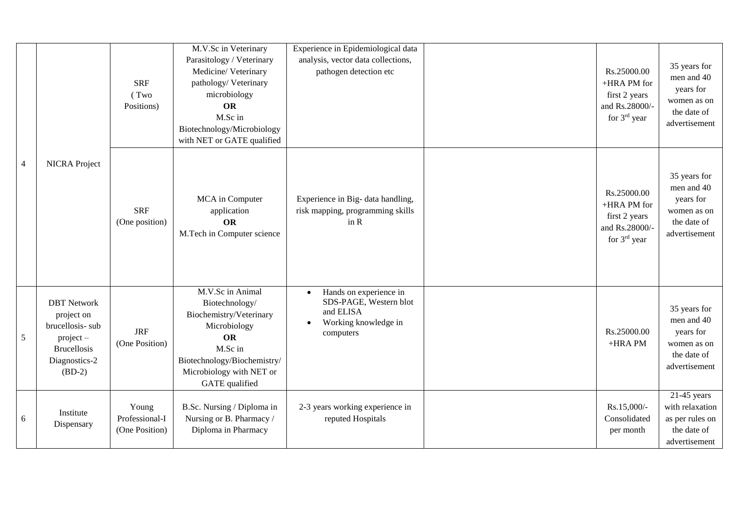|                |                                                                                                                       | <b>SRF</b><br>(Two<br>Positions)          | M.V.Sc in Veterinary<br>Parasitology / Veterinary<br>Medicine/Veterinary<br>pathology/Veterinary<br>microbiology<br><b>OR</b><br>M.Sc in<br>Biotechnology/Microbiology<br>with NET or GATE qualified | Experience in Epidemiological data<br>analysis, vector data collections,<br>pathogen detection etc                           | Rs.25000.00<br>+HRA PM for<br>first 2 years<br>and Rs.28000/-<br>for 3 <sup>rd</sup> year | 35 years for<br>men and 40<br>years for<br>women as on<br>the date of<br>advertisement |
|----------------|-----------------------------------------------------------------------------------------------------------------------|-------------------------------------------|------------------------------------------------------------------------------------------------------------------------------------------------------------------------------------------------------|------------------------------------------------------------------------------------------------------------------------------|-------------------------------------------------------------------------------------------|----------------------------------------------------------------------------------------|
| $\overline{4}$ | <b>NICRA</b> Project                                                                                                  | <b>SRF</b><br>(One position)              | MCA in Computer<br>application<br><b>OR</b><br>M.Tech in Computer science                                                                                                                            | Experience in Big- data handling,<br>risk mapping, programming skills<br>in R                                                | Rs.25000.00<br>+HRA PM for<br>first 2 years<br>and Rs.28000/-<br>for $3rd$ year           | 35 years for<br>men and 40<br>years for<br>women as on<br>the date of<br>advertisement |
| 5              | <b>DBT</b> Network<br>project on<br>brucellosis-sub<br>$project -$<br><b>Brucellosis</b><br>Diagnostics-2<br>$(BD-2)$ | <b>JRF</b><br>(One Position)              | M.V.Sc in Animal<br>Biotechnology/<br>Biochemistry/Veterinary<br>Microbiology<br><b>OR</b><br>M.Sc in<br>Biotechnology/Biochemistry/<br>Microbiology with NET or<br>GATE qualified                   | Hands on experience in<br>$\bullet$<br>SDS-PAGE, Western blot<br>and ELISA<br>Working knowledge in<br>$\bullet$<br>computers | Rs.25000.00<br>+HRA PM                                                                    | 35 years for<br>men and 40<br>years for<br>women as on<br>the date of<br>advertisement |
| 6              | Institute<br>Dispensary                                                                                               | Young<br>Professional-I<br>(One Position) | B.Sc. Nursing / Diploma in<br>Nursing or B. Pharmacy /<br>Diploma in Pharmacy                                                                                                                        | 2-3 years working experience in<br>reputed Hospitals                                                                         | Rs.15,000/-<br>Consolidated<br>per month                                                  | $21-45$ years<br>with relaxation<br>as per rules on<br>the date of<br>advertisement    |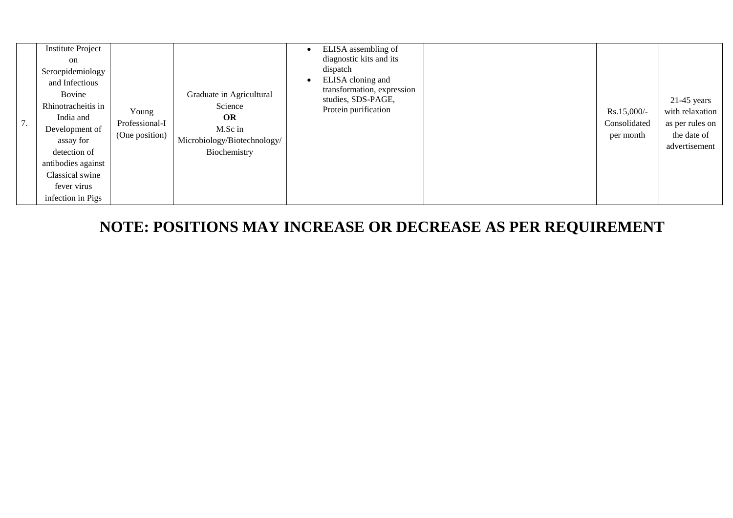| $\prime$ . |
|------------|

**NOTE: POSITIONS MAY INCREASE OR DECREASE AS PER REQUIREMENT**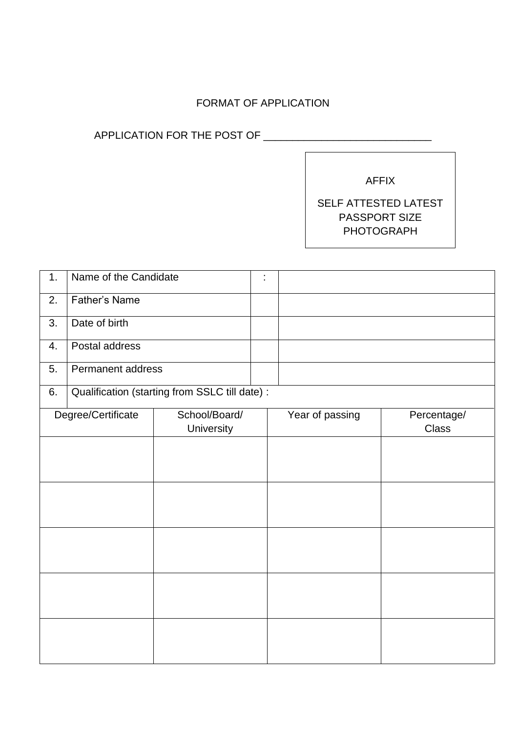## FORMAT OF APPLICATION

## APPLICATION FOR THE POST OF \_\_\_\_\_\_\_\_\_\_\_\_\_\_\_\_\_\_\_\_\_\_\_\_\_\_\_\_\_

AFFIX

## SELF ATTESTED LATEST PASSPORT SIZE PHOTOGRAPH

| Name of the Candidate<br>1. |                    | t                                              |  |                 |             |
|-----------------------------|--------------------|------------------------------------------------|--|-----------------|-------------|
| <b>Father's Name</b><br>2.  |                    |                                                |  |                 |             |
| 3.                          | Date of birth      |                                                |  |                 |             |
| 4.                          | Postal address     |                                                |  |                 |             |
| 5.                          | Permanent address  |                                                |  |                 |             |
| 6.                          |                    | Qualification (starting from SSLC till date) : |  |                 |             |
|                             | Degree/Certificate | School/Board/                                  |  | Year of passing | Percentage/ |
|                             |                    | University                                     |  |                 | Class       |
|                             |                    |                                                |  |                 |             |
|                             |                    |                                                |  |                 |             |
|                             |                    |                                                |  |                 |             |
|                             |                    |                                                |  |                 |             |
|                             |                    |                                                |  |                 |             |
|                             |                    |                                                |  |                 |             |
|                             |                    |                                                |  |                 |             |
|                             |                    |                                                |  |                 |             |
|                             |                    |                                                |  |                 |             |
|                             |                    |                                                |  |                 |             |
|                             |                    |                                                |  |                 |             |
|                             |                    |                                                |  |                 |             |
|                             |                    |                                                |  |                 |             |
|                             |                    |                                                |  |                 |             |
|                             |                    |                                                |  |                 |             |